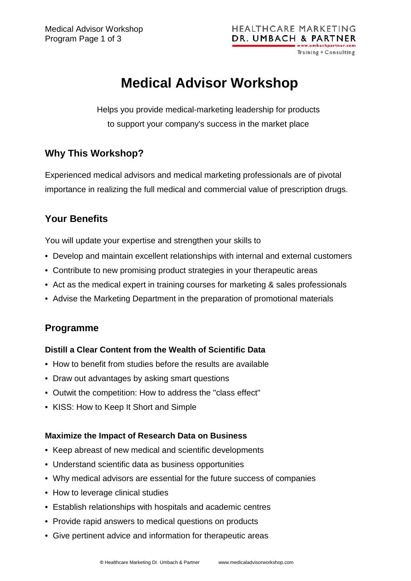# **Medical Advisor Workshop**

Helps you provide medical-marketing leadership for products to support your company's success in the market place

## **Why This Workshop?**

Experienced medical advisors and medical marketing professionals are of pivotal importance in realizing the full medical and commercial value of prescription drugs.

## **Your Benefits**

You will update your expertise and strengthen your skills to

- Develop and maintain excellent relationships with internal and external customers
- Contribute to new promising product strategies in your therapeutic areas
- Act as the medical expert in training courses for marketing & sales professionals
- Advise the Marketing Department in the preparation of promotional materials

## **Programme**

### **Distill a Clear Content from the Wealth of Scientific Data**

- How to benefit from studies before the results are available
- Draw out advantages by asking smart questions
- Outwit the competition: How to address the "class effect"
- KISS: How to Keep It Short and Simple

### **Maximize the Impact of Research Data on Business**

- Keep abreast of new medical and scientific developments
- Understand scientific data as business opportunities
- Why medical advisors are essential for the future success of companies
- How to leverage clinical studies
- Establish relationships with hospitals and academic centres
- Provide rapid answers to medical questions on products
- Give pertinent advice and information for therapeutic areas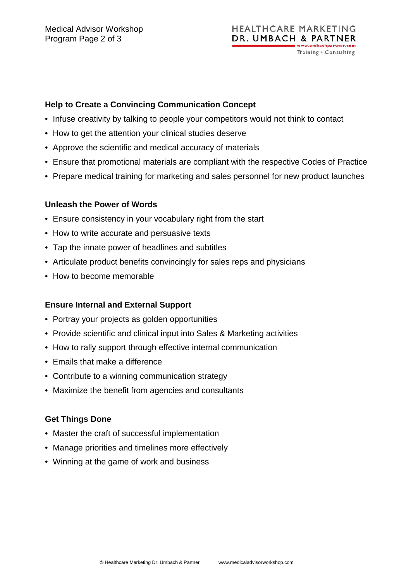#### **HEALTHCARE MARKETING** DR. UMBACH & PARTNER ww.umbachpartner.com Training + Consulting

#### **Help to Create a Convincing Communication Concept**

- Infuse creativity by talking to people your competitors would not think to contact
- How to get the attention your clinical studies deserve
- Approve the scientific and medical accuracy of materials
- Ensure that promotional materials are compliant with the respective Codes of Practice
- Prepare medical training for marketing and sales personnel for new product launches

#### **Unleash the Power of Words**

- Ensure consistency in your vocabulary right from the start
- How to write accurate and persuasive texts
- Tap the innate power of headlines and subtitles
- Articulate product benefits convincingly for sales reps and physicians
- How to become memorable

### **Ensure Internal and External Support**

- Portray your projects as golden opportunities
- Provide scientific and clinical input into Sales & Marketing activities
- How to rally support through effective internal communication
- Emails that make a difference
- Contribute to a winning communication strategy
- Maximize the benefit from agencies and consultants

### **Get Things Done**

- Master the craft of successful implementation
- Manage priorities and timelines more effectively
- Winning at the game of work and business